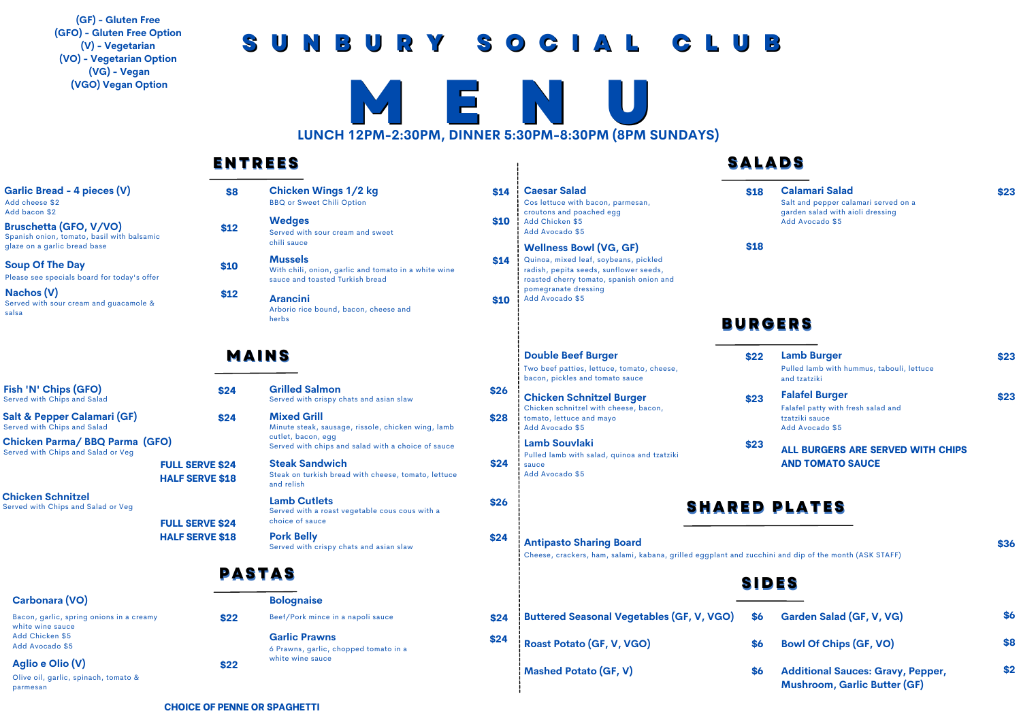**(GF) - Gluten Free (GFO) - Gluten Free Option (V) - Vegetarian (VO) - Vegetarian Option (VG) - Vegan (VGO) Vegan Option**

## **S U N B U R Y S O C I A L C L U B**



### **ENTREES**

| Garlic Bread - 4 pieces (V) |  |
|-----------------------------|--|
| Add cheese \$2              |  |
| Add bacon \$2               |  |

**Bruschetta (GFO, V/VO)** Spanish onion, tomato, basil with balsamic glaze on a garlic bread base

**Nachos (V)** Served with sour cream and guacamole & salsa

**Fish 'N' Chips (GFO)** Served with Chips and Salad

**Salt & Pepper Calamari (GF)** Served with Chips and Salad

**Chicken Parma/ BBQ Parma (GFO)** Served with Chips and Salad or Veg

**Chicken Schnitzel** Served with Chips and Salad or Veg

parmesan

| <b>Chicken Wings 1/2 kg</b>      |  |
|----------------------------------|--|
| <b>BBQ or Sweet Chili Option</b> |  |

## **MAINS**

## **PASTAS**

#### **\$22 Bolognaise** Beef/Pork mince in a napoli sauce **\$24 Garlic Prawns** 6 Prawns, garlic, chopped tomato in a white wine sauce **\$22**

## **SALABS**

| arlic Bread - 4 pieces (V)<br>d cheese \$2<br>d bacon \$2<br>uschetta (GFO, V/VO) |                                                  | \$8<br>\$12   | <b>Chicken Wings 1/2 kg</b><br><b>BBQ or Sweet Chili Option</b><br><b>Wedges</b>                          | \$14<br>\$10 | <b>Caesar Salad</b><br>Cos lettuce with bacon, parmesan,<br>croutons and poached egg<br>Add Chicken \$5                                 | \$18                 | <b>Calamari Salad</b><br>Salt and pepper calamari served on a<br>garden salad with aioli dressing<br>Add Avocado \$5 | \$23 |
|-----------------------------------------------------------------------------------|--------------------------------------------------|---------------|-----------------------------------------------------------------------------------------------------------|--------------|-----------------------------------------------------------------------------------------------------------------------------------------|----------------------|----------------------------------------------------------------------------------------------------------------------|------|
| anish onion, tomato, basil with balsamic<br>aze on a garlic bread base            |                                                  |               | Served with sour cream and sweet<br>chili sauce                                                           |              | Add Avocado \$5<br><b>Wellness Bowl (VG, GF)</b>                                                                                        | \$18                 |                                                                                                                      |      |
| oup Of The Day<br>ease see specials board for today's offer                       |                                                  | \$10          | <b>Mussels</b><br>With chili, onion, garlic and tomato in a white wine<br>sauce and toasted Turkish bread | \$14         | Quinoa, mixed leaf, soybeans, pickled<br>radish, pepita seeds, sunflower seeds,<br>roasted cherry tomato, spanish onion and             |                      |                                                                                                                      |      |
| achos (V)<br>rved with sour cream and guacamole &<br>Isa                          |                                                  | \$12          | <b>Arancini</b><br>Arborio rice bound, bacon, cheese and                                                  | \$10         | pomegranate dressing<br>Add Avocado \$5                                                                                                 |                      |                                                                                                                      |      |
|                                                                                   |                                                  | herbs         |                                                                                                           |              |                                                                                                                                         | <b>BURGERS</b>       |                                                                                                                      |      |
|                                                                                   |                                                  | <b>MAINS</b>  |                                                                                                           |              | <b>Double Beef Burger</b><br>Two beef patties, lettuce, tomato, cheese,<br>bacon, pickles and tomato sauce                              | \$22                 | <b>Lamb Burger</b><br>Pulled lamb with hummus, tabouli, lettuce<br>and tzatziki                                      | \$23 |
| sh 'N' Chips (GFO)<br>rved with Chips and Salad                                   |                                                  | \$24          | <b>Grilled Salmon</b><br>Served with crispy chats and asian slaw                                          | \$26         | <b>Chicken Schnitzel Burger</b>                                                                                                         | \$23                 | <b>Falafel Burger</b>                                                                                                | \$23 |
| llt & Pepper Calamari (GF)<br>rved with Chips and Salad                           |                                                  | \$24          | <b>Mixed Grill</b><br>Minute steak, sausage, rissole, chicken wing, lamb                                  | \$28         | Chicken schnitzel with cheese, bacon,<br>tomato, lettuce and mayo<br>Add Avocado \$5                                                    |                      | Falafel patty with fresh salad and<br>tzatziki sauce<br>Add Avocado \$5                                              |      |
| nicken Parma/ BBQ Parma (GFO)<br>rved with Chips and Salad or Veg                 |                                                  |               | cutlet, bacon, egg<br>Served with chips and salad with a choice of sauce                                  |              | Lamb Souvlaki<br>Pulled lamb with salad, quinoa and tzatziki                                                                            | \$23                 | <b>ALL BURGERS ARE SERVED WITH CHIPS</b>                                                                             |      |
|                                                                                   | <b>FULL SERVE \$24</b><br><b>HALF SERVE \$18</b> |               | <b>Steak Sandwich</b><br>Steak on turkish bread with cheese, tomato, lettuce<br>and relish                | \$24         | sauce<br>Add Avocado \$5                                                                                                                |                      | <b>AND TOMATO SAUCE</b>                                                                                              |      |
| nicken Schnitzel<br>rved with Chips and Salad or Veg                              | <b>FULL SERVE \$24</b>                           |               | <b>Lamb Cutlets</b><br>Served with a roast vegetable cous cous with a<br>choice of sauce                  | \$26         |                                                                                                                                         | <b>SHARED PLATES</b> |                                                                                                                      |      |
|                                                                                   | <b>HALF SERVE \$18</b>                           |               | <b>Pork Belly</b><br>Served with crispy chats and asian slaw                                              | \$24         | <b>Antipasto Sharing Board</b><br>Cheese, crackers, ham, salami, kabana, grilled eggplant and zucchini and dip of the month (ASK STAFF) |                      |                                                                                                                      | \$36 |
|                                                                                   |                                                  | <b>PASTAS</b> |                                                                                                           |              |                                                                                                                                         | <b>SIDES</b>         |                                                                                                                      |      |
| Carbonara (VO)                                                                    |                                                  |               | <b>Bolognaise</b>                                                                                         |              |                                                                                                                                         |                      |                                                                                                                      |      |
| Bacon, garlic, spring onions in a creamy<br>white wine sauce                      |                                                  | \$22          | Beef/Pork mince in a napoli sauce                                                                         | \$24         | <b>Buttered Seasonal Vegetables (GF, V, VGO)</b>                                                                                        | \$6                  | Garden Salad (GF, V, VG)                                                                                             | S6   |
| Add Chicken \$5<br>Add Avocado \$5                                                |                                                  |               | <b>Garlic Prawns</b><br>6 Prawns, garlic, chopped tomato in a                                             | \$24         | Roast Potato (GF, V, VGO)                                                                                                               | \$6                  | <b>Bowl Of Chips (GF, VO)</b>                                                                                        | \$8  |
| Aglio e Olio (V)<br>Olive oil, garlic, spinach, tomato &<br>parmesan              |                                                  | \$22          | white wine sauce                                                                                          |              | <b>Mashed Potato (GF, V)</b>                                                                                                            | \$6                  | <b>Additional Sauces: Gravy, Pepper,</b><br><b>Mushroom, Garlic Butter (GF)</b>                                      | \$2  |

**CHOICE OF PENNE OR SPAGHETTI**